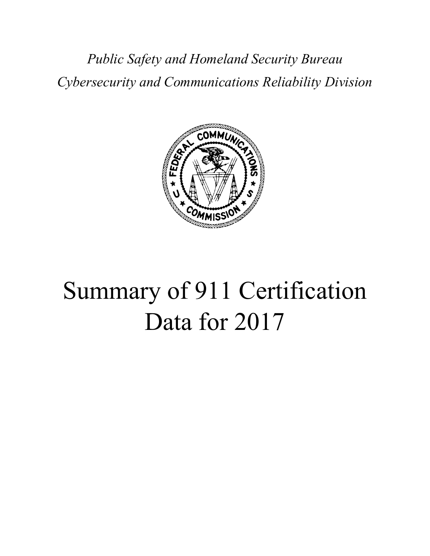*Public Safety and Homeland Security Bureau Cybersecurity and Communications Reliability Division*



# Summary of 911 Certification Data for 2017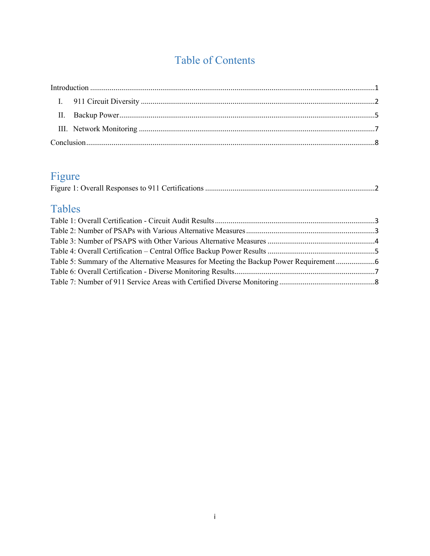# Table of Contents

# Figure

# Tables

| Table 5: Summary of the Alternative Measures for Meeting the Backup Power Requirement |
|---------------------------------------------------------------------------------------|
|                                                                                       |
|                                                                                       |
|                                                                                       |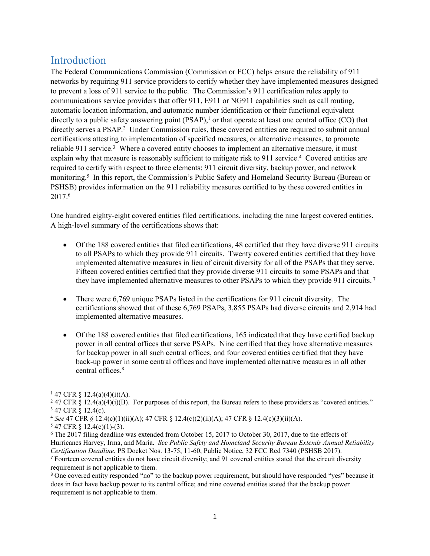## <span id="page-2-0"></span>**Introduction**

The Federal Communications Commission (Commission or FCC) helps ensure the reliability of 911 networks by requiring 911 service providers to certify whether they have implemented measures designed to prevent a loss of 911 service to the public. The Commission's 911 certification rules apply to communications service providers that offer 911, E911 or NG911 capabilities such as call routing, automatic location information, and automatic number identification or their functional equivalent directly to a public safety answering point  $(PSAP)$ ,<sup>1</sup> or that operate at least one central office  $(CO)$  that directly serves a PSAP.<sup>2</sup> Under Commission rules, these covered entities are required to submit annual certifications attesting to implementation of specified measures, or alternative measures, to promote reliable 911 service.<sup>3</sup> Where a covered entity chooses to implement an alternative measure, it must explain why that measure is reasonably sufficient to mitigate risk to 911 service.<sup>4</sup> Covered entities are required to certify with respect to three elements: 911 circuit diversity, backup power, and network monitoring.<sup>5</sup> In this report, the Commission's Public Safety and Homeland Security Bureau (Bureau or PSHSB) provides information on the 911 reliability measures certified to by these covered entities in 2017.<sup>6</sup>

One hundred eighty-eight covered entities filed certifications, including the nine largest covered entities. A high-level summary of the certifications shows that:

- Of the 188 covered entities that filed certifications, 48 certified that they have diverse 911 circuits to all PSAPs to which they provide 911 circuits. Twenty covered entities certified that they have implemented alternative measures in lieu of circuit diversity for all of the PSAPs that they serve. Fifteen covered entities certified that they provide diverse 911 circuits to some PSAPs and that they have implemented alternative measures to other PSAPs to which they provide 911 circuits.<sup>7</sup>
- There were 6,769 unique PSAPs listed in the certifications for 911 circuit diversity. The certifications showed that of these 6,769 PSAPs, 3,855 PSAPs had diverse circuits and 2,914 had implemented alternative measures.
- Of the 188 covered entities that filed certifications, 165 indicated that they have certified backup power in all central offices that serve PSAPs. Nine certified that they have alternative measures for backup power in all such central offices, and four covered entities certified that they have back-up power in some central offices and have implemented alternative measures in all other central offices.<sup>8</sup>

<sup>7</sup> Fourteen covered entities do not have circuit diversity; and 91 covered entities stated that the circuit diversity requirement is not applicable to them.

 $147$  CFR § 12.4(a)(4)(i)(A).

<sup>&</sup>lt;sup>2</sup> 47 CFR § 12.4(a)(4)(i)(B). For purposes of this report, the Bureau refers to these providers as "covered entities." 3 47 CFR § 12.4(c).

<sup>4</sup> *See* 47 CFR § 12.4(c)(1)(ii)(A); 47 CFR § 12.4(c)(2)(ii)(A); 47 CFR § 12.4(c)(3)(ii)(A).

<sup>5</sup> 47 CFR § 12.4(c)(1)-(3).

<sup>6</sup> The 2017 filing deadline was extended from October 15, 2017 to October 30, 2017, due to the effects of Hurricanes Harvey, Irma, and Maria. *See Public Safety and Homeland Security Bureau Extends Annual Reliability Certification Deadline*, PS Docket Nos. 13-75, 11-60, Public Notice, 32 FCC Rcd 7340 (PSHSB 2017).

<sup>8</sup> One covered entity responded "no" to the backup power requirement, but should have responded "yes" because it does in fact have backup power to its central office; and nine covered entities stated that the backup power requirement is not applicable to them.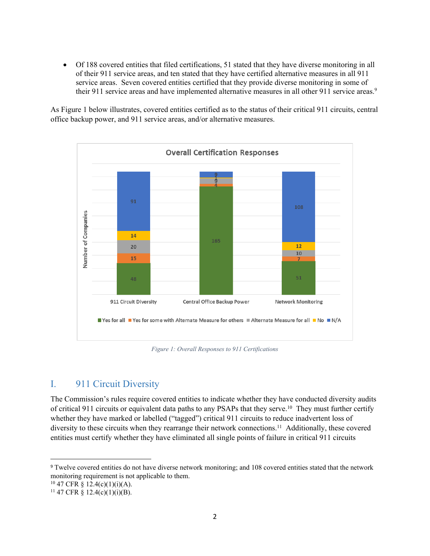Of 188 covered entities that filed certifications, 51 stated that they have diverse monitoring in all of their 911 service areas, and ten stated that they have certified alternative measures in all 911 service areas. Seven covered entities certified that they provide diverse monitoring in some of their 911 service areas and have implemented alternative measures in all other 911 service areas.<sup>9</sup>

As Figure 1 below illustrates, covered entities certified as to the status of their critical 911 circuits, central office backup power, and 911 service areas, and/or alternative measures.



<span id="page-3-1"></span>*Figure 1: Overall Responses to 911 Certifications*

## <span id="page-3-0"></span>I. 911 Circuit Diversity

The Commission's rules require covered entities to indicate whether they have conducted diversity audits of critical 911 circuits or equivalent data paths to any PSAPs that they serve.<sup>10</sup> They must further certify whether they have marked or labelled ("tagged") critical 911 circuits to reduce inadvertent loss of diversity to these circuits when they rearrange their network connections.<sup>11</sup> Additionally, these covered entities must certify whether they have eliminated all single points of failure in critical 911 circuits

<sup>9</sup> Twelve covered entities do not have diverse network monitoring; and 108 covered entities stated that the network monitoring requirement is not applicable to them.

 $10\,47$  CFR § 12.4(c)(1)(i)(A).

 $11$  47 CFR § 12.4(c)(1)(i)(B).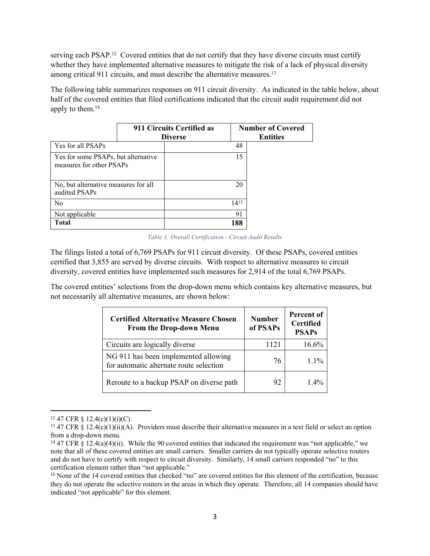serving each PSAP.<sup>12</sup> Covered entities that do not certify that they have diverse circuits must certify whether they have implemented alternative measures to mitigate the risk of a lack of physical diversity among critical 911 circuits, and must describe the alternative measures.<sup>13</sup>

The following table summarizes responses on 911 circuit diversity. As indicated in the table below, about half of the covered entities that filed certifications indicated that the circuit audit requirement did not apply to them.<sup>14</sup>

|                                                                 |  | 911 Circuits Certified as<br><b>Diverse</b> |           | <b>Number of Covered</b><br><b>Entities</b> |
|-----------------------------------------------------------------|--|---------------------------------------------|-----------|---------------------------------------------|
| Yes for all PSAPs                                               |  |                                             | 48        |                                             |
| Yes for some PSAPs, but alternative<br>measures for other PSAPs |  |                                             | 15        |                                             |
| No, but alternative measures for all<br>audited PSAPs           |  |                                             | 20        |                                             |
| N <sub>0</sub>                                                  |  |                                             | $14^{15}$ |                                             |
| Not applicable                                                  |  |                                             | 91        |                                             |
| <b>Total</b>                                                    |  |                                             | 188       |                                             |

<span id="page-4-0"></span>*Table 1: Overall Certification - Circuit Audit Results*

The filings listed a total of 6,769 PSAPs for 911 circuit diversity. Of these PSAPs, covered entities certified that 3,855 are served by diverse circuits. With respect to alternative measures to circuit diversity, covered entities have implemented such measures for 2,914 of the total 6,769 PSAPs.

The covered entities' selections from the drop-down menu which contains key alternative measures, but not necessarily all alternative measures, are shown below:

| <b>Certified Alternative Measure Chosen</b><br><b>From the Drop-down Menu</b>   | <b>Number</b><br>of PSAPs | <b>Percent of</b><br><b>Certified</b><br><b>PSAPs</b> |
|---------------------------------------------------------------------------------|---------------------------|-------------------------------------------------------|
| Circuits are logically diverse                                                  | 1121                      | 16.6%                                                 |
| NG 911 has been implemented allowing<br>for automatic alternate route selection | 76                        | $1.1\%$                                               |
| Reroute to a backup PSAP on diverse path                                        | 92                        | $1.4\%$                                               |

 $12\,47$  CFR  $\frac{12.4(c)(1)(i)(C)}{i}$ .

<sup>&</sup>lt;sup>13</sup> 47 CFR § 12.4(c)(1)(ii)(A). Providers must describe their alternative measures in a text field or select an option from a drop-down menu.

<sup>&</sup>lt;sup>14</sup> 47 CFR § 12.4(a)(4)(ii). While the 90 covered entities that indicated the requirement was "not applicable," we note that all of these covered entities are small carriers. Smaller carriers do not typically operate selective routers and do not have to certify with respect to circuit diversity. Similarly, 14 small carriers responded "no" to this certification element rather than "not applicable."

<sup>15</sup> None of the 14 covered entities that checked "no" are covered entities for this element of the certification, because they do not operate the selective routers in the areas in which they operate. Therefore, all 14 companies should have indicated "not applicable" for this element.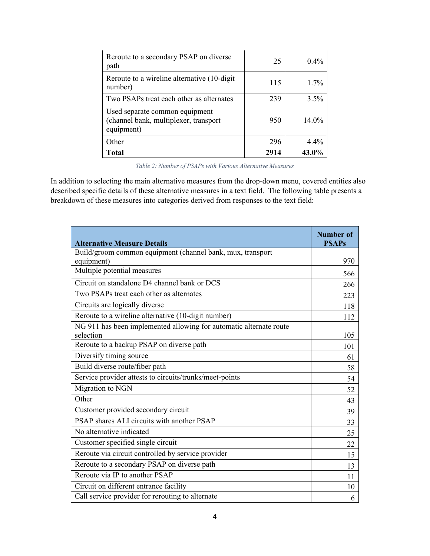| Reroute to a secondary PSAP on diverse<br>path                                        | 25   | $0.4\%$ |
|---------------------------------------------------------------------------------------|------|---------|
| Reroute to a wireline alternative (10-digit)<br>number)                               | 115  | $1.7\%$ |
| Two PSAPs treat each other as alternates                                              | 239  | 3.5%    |
| Used separate common equipment<br>(channel bank, multiplexer, transport<br>equipment) | 950  | 14.0%   |
| Other                                                                                 | 296  | $4.4\%$ |
| <b>Total</b>                                                                          | 2914 | 43.0%   |

<span id="page-5-0"></span>*Table 2: Number of PSAPs with Various Alternative Measures*

In addition to selecting the main alternative measures from the drop-down menu, covered entities also described specific details of these alternative measures in a text field. The following table presents a breakdown of these measures into categories derived from responses to the text field:

| <b>Alternative Measure Details</b>                                              | <b>Number of</b><br><b>PSAPs</b> |
|---------------------------------------------------------------------------------|----------------------------------|
| Build/groom common equipment (channel bank, mux, transport                      |                                  |
| equipment)                                                                      | 970                              |
| Multiple potential measures                                                     | 566                              |
| Circuit on standalone D4 channel bank or DCS                                    | 266                              |
| Two PSAPs treat each other as alternates                                        | 223                              |
| Circuits are logically diverse                                                  | 118                              |
| Reroute to a wireline alternative (10-digit number)                             | 112                              |
| NG 911 has been implemented allowing for automatic alternate route<br>selection | 105                              |
| Reroute to a backup PSAP on diverse path                                        | 101                              |
| Diversify timing source                                                         | 61                               |
| Build diverse route/fiber path                                                  | 58                               |
| Service provider attests to circuits/trunks/meet-points                         | 54                               |
| Migration to NGN                                                                | 52                               |
| Other                                                                           | 43                               |
| Customer provided secondary circuit                                             | 39                               |
| PSAP shares ALI circuits with another PSAP                                      | 33                               |
| No alternative indicated                                                        | 25                               |
| Customer specified single circuit                                               | 22                               |
| Reroute via circuit controlled by service provider                              | 15                               |
| Reroute to a secondary PSAP on diverse path                                     | 13                               |
| Reroute via IP to another PSAP                                                  | 11                               |
| Circuit on different entrance facility                                          | 10                               |
| Call service provider for rerouting to alternate                                | 6                                |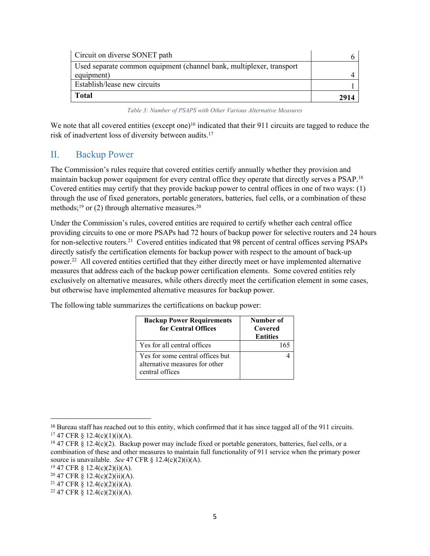| Circuit on diverse SONET path                                        |      |
|----------------------------------------------------------------------|------|
| Used separate common equipment (channel bank, multiplexer, transport |      |
| equipment)                                                           |      |
| Establish/lease new circuits                                         |      |
| <b>Total</b>                                                         | 2914 |

<span id="page-6-1"></span>*Table 3: Number of PSAPS with Other Various Alternative Measures*

We note that all covered entities (except one)<sup>16</sup> indicated that their 911 circuits are tagged to reduce the risk of inadvertent loss of diversity between audits.<sup>17</sup>

### <span id="page-6-0"></span>II. Backup Power

The Commission's rules require that covered entities certify annually whether they provision and maintain backup power equipment for every central office they operate that directly serves a PSAP.<sup>18</sup> Covered entities may certify that they provide backup power to central offices in one of two ways: (1) through the use of fixed generators, portable generators, batteries, fuel cells, or a combination of these methods;<sup>19</sup> or (2) through alternative measures.<sup>20</sup>

Under the Commission's rules, covered entities are required to certify whether each central office providing circuits to one or more PSAPs had 72 hours of backup power for selective routers and 24 hours for non-selective routers.<sup>21</sup> Covered entities indicated that 98 percent of central offices serving PSAPs directly satisfy the certification elements for backup power with respect to the amount of back-up power.<sup>22</sup> All covered entities certified that they either directly meet or have implemented alternative measures that address each of the backup power certification elements. Some covered entities rely exclusively on alternative measures, while others directly meet the certification element in some cases, but otherwise have implemented alternative measures for backup power.

4

| <b>Backup Power Requirements</b><br>for Central Offices | Number of<br>Covered<br><b>Entities</b> |
|---------------------------------------------------------|-----------------------------------------|
| Yes for all central offices                             |                                         |

Yes for some central offices but alternative measures for other

The following table summarizes the certifications on backup power:

central offices

<sup>16</sup> Bureau staff has reached out to this entity, which confirmed that it has since tagged all of the 911 circuits.  $17$  47 CFR § 12.4(c)(1)(i)(A).

<sup>18</sup> 47 CFR § 12.4(c)(2). Backup power may include fixed or portable generators, batteries, fuel cells, or a combination of these and other measures to maintain full functionality of 911 service when the primary power source is unavailable. *See* 47 CFR § 12.4(c)(2)(i)(A).

 $19\,47$  CFR § 12.4(c)(2)(i)(A).

<sup>20</sup> 47 CFR § 12.4(c)(2)(ii)(A).

<sup>&</sup>lt;sup>21</sup> 47 CFR § 12.4(c)(2)(i)(A).

<sup>&</sup>lt;sup>22</sup> 47 CFR § 12.4(c)(2)(i)(A).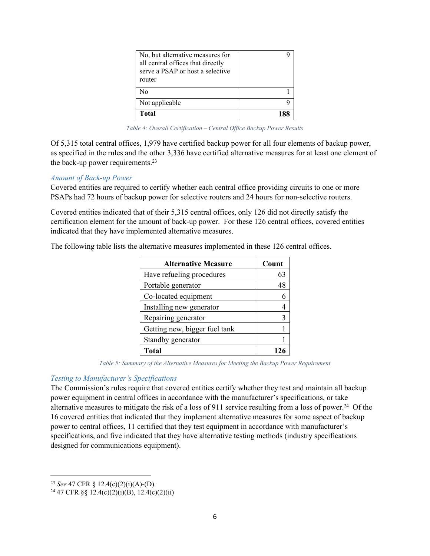| No, but alternative measures for<br>all central offices that directly<br>serve a PSAP or host a selective<br>router |     |
|---------------------------------------------------------------------------------------------------------------------|-----|
| N٥                                                                                                                  |     |
| Not applicable                                                                                                      |     |
| Total                                                                                                               | 188 |

<span id="page-7-0"></span>*Table 4: Overall Certification – Central Office Backup Power Results*

Of 5,315 total central offices, 1,979 have certified backup power for all four elements of backup power, as specified in the rules and the other 3,336 have certified alternative measures for at least one element of the back-up power requirements.<sup>23</sup>

#### *Amount of Back-up Power*

Covered entities are required to certify whether each central office providing circuits to one or more PSAPs had 72 hours of backup power for selective routers and 24 hours for non-selective routers.

Covered entities indicated that of their 5,315 central offices, only 126 did not directly satisfy the certification element for the amount of back-up power. For these 126 central offices, covered entities indicated that they have implemented alternative measures.

The following table lists the alternative measures implemented in these 126 central offices.

| <b>Alternative Measure</b>    | Count |
|-------------------------------|-------|
| Have refueling procedures     | 63    |
| Portable generator            | 48    |
| Co-located equipment          |       |
| Installing new generator      |       |
| Repairing generator           | 3     |
| Getting new, bigger fuel tank |       |
| Standby generator             |       |
| <b>Total</b>                  |       |

<span id="page-7-1"></span>*Table 5: Summary of the Alternative Measures for Meeting the Backup Power Requirement*

#### *Testing to Manufacturer's Specifications*

The Commission's rules require that covered entities certify whether they test and maintain all backup power equipment in central offices in accordance with the manufacturer's specifications, or take alternative measures to mitigate the risk of a loss of 911 service resulting from a loss of power.<sup>24</sup> Of the 16 covered entities that indicated that they implement alternative measures for some aspect of backup power to central offices, 11 certified that they test equipment in accordance with manufacturer's specifications, and five indicated that they have alternative testing methods (industry specifications designed for communications equipment).

<sup>23</sup> *See* 47 CFR § 12.4(c)(2)(i)(A)-(D).

<sup>&</sup>lt;sup>24</sup> 47 CFR §§ 12.4(c)(2)(i)(B), 12.4(c)(2)(ii)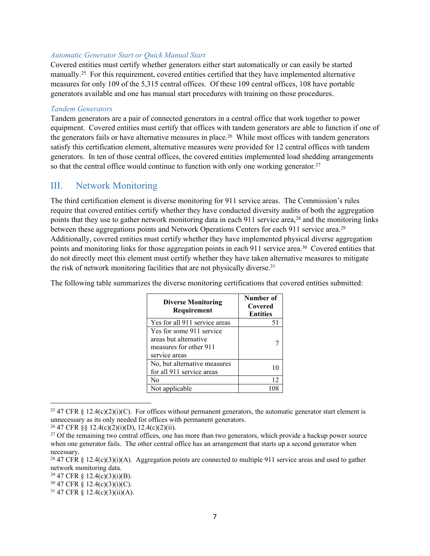#### *Automatic Generator Start or Quick Manual Start*

Covered entities must certify whether generators either start automatically or can easily be started manually.<sup>25</sup> For this requirement, covered entities certified that they have implemented alternative measures for only 109 of the 5,315 central offices. Of these 109 central offices, 108 have portable generators available and one has manual start procedures with training on those procedures.

#### *Tandem Generators*

Tandem generators are a pair of connected generators in a central office that work together to power equipment. Covered entities must certify that offices with tandem generators are able to function if one of the generators fails or have alternative measures in place.<sup>26</sup> While most offices with tandem generators satisfy this certification element, alternative measures were provided for 12 central offices with tandem generators. In ten of those central offices, the covered entities implemented load shedding arrangements so that the central office would continue to function with only one working generator.<sup>27</sup>

#### <span id="page-8-0"></span>III. Network Monitoring

The third certification element is diverse monitoring for 911 service areas. The Commission's rules require that covered entities certify whether they have conducted diversity audits of both the aggregation points that they use to gather network monitoring data in each 911 service area,<sup>28</sup> and the monitoring links between these aggregations points and Network Operations Centers for each 911 service area.<sup>29</sup> Additionally, covered entities must certify whether they have implemented physical diverse aggregation points and monitoring links for those aggregation points in each 911 service area.<sup>30</sup> Covered entities that do not directly meet this element must certify whether they have taken alternative measures to mitigate the risk of network monitoring facilities that are not physically diverse.<sup>31</sup>

The following table summarizes the diverse monitoring certifications that covered entities submitted:

| <b>Diverse Monitoring</b><br>Requirement                                                     | Number of<br>Covered<br><b>Entities</b> |
|----------------------------------------------------------------------------------------------|-----------------------------------------|
| Yes for all 911 service areas                                                                | 51                                      |
| Yes for some 911 service<br>areas but alternative<br>measures for other 911<br>service areas |                                         |
| No, but alternative measures<br>for all 911 service areas                                    |                                         |
| No                                                                                           | 12 <sup>2</sup>                         |
| Not applicable                                                                               | 108                                     |

<sup>&</sup>lt;sup>25</sup> 47 CFR § 12.4(c)(2)(i)(C). For offices without permanent generators, the automatic generator start element is unnecessary as its only needed for offices with permanent generators.

 $26$  47 CFR §§ 12.4(c)(2)(i)(D), 12.4(c)(2)(ii).

<sup>&</sup>lt;sup>27</sup> Of the remaining two central offices, one has more than two generators, which provide a backup power source when one generator fails. The other central office has an arrangement that starts up a second generator when necessary.

<sup>&</sup>lt;sup>28</sup> 47 CFR § 12.4(c)(3)(i)(A). Aggregation points are connected to multiple 911 service areas and used to gather network monitoring data.

 $29\,47$  CFR § 12.4(c)(3)(i)(B).

 $30\,47$  CFR § 12.4(c)(3)(i)(C).

<sup>31</sup> 47 CFR § 12.4(c)(3)(ii)(A).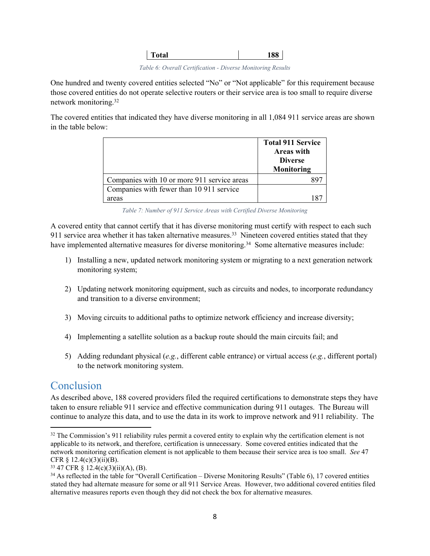<span id="page-9-1"></span>*Table 6: Overall Certification - Diverse Monitoring Results* 

One hundred and twenty covered entities selected "No" or "Not applicable" for this requirement because those covered entities do not operate selective routers or their service area is too small to require diverse network monitoring.<sup>32</sup>

The covered entities that indicated they have diverse monitoring in all 1,084 911 service areas are shown in the table below:

|                                             | <b>Total 911 Service</b><br><b>Areas with</b><br><b>Diverse</b><br>Monitoring |
|---------------------------------------------|-------------------------------------------------------------------------------|
| Companies with 10 or more 911 service areas | xч                                                                            |
| Companies with fewer than 10 911 service    |                                                                               |
| areas                                       |                                                                               |

<span id="page-9-2"></span>*Table 7: Number of 911 Service Areas with Certified Diverse Monitoring* 

A covered entity that cannot certify that it has diverse monitoring must certify with respect to each such 911 service area whether it has taken alternative measures.<sup>33</sup> Nineteen covered entities stated that they have implemented alternative measures for diverse monitoring.<sup>34</sup> Some alternative measures include:

- 1) Installing a new, updated network monitoring system or migrating to a next generation network monitoring system;
- 2) Updating network monitoring equipment, such as circuits and nodes, to incorporate redundancy and transition to a diverse environment;
- 3) Moving circuits to additional paths to optimize network efficiency and increase diversity;
- 4) Implementing a satellite solution as a backup route should the main circuits fail; and
- 5) Adding redundant physical (*e.g.*, different cable entrance) or virtual access (*e.g.*, different portal) to the network monitoring system.

## <span id="page-9-0"></span>**Conclusion**

As described above, 188 covered providers filed the required certifications to demonstrate steps they have taken to ensure reliable 911 service and effective communication during 911 outages. The Bureau will continue to analyze this data, and to use the data in its work to improve network and 911 reliability. The

<sup>&</sup>lt;sup>32</sup> The Commission's 911 reliability rules permit a covered entity to explain why the certification element is not applicable to its network, and therefore, certification is unnecessary. Some covered entities indicated that the network monitoring certification element is not applicable to them because their service area is too small. *See* 47 CFR  $§$  12.4(c)(3)(ii)(B).

 $33\,47$  CFR § 12.4(c)(3)(ii)(A), (B).

<sup>34</sup> As reflected in the table for "Overall Certification – Diverse Monitoring Results" (Table 6), 17 covered entities stated they had alternate measure for some or all 911 Service Areas. However, two additional covered entities filed alternative measures reports even though they did not check the box for alternative measures.